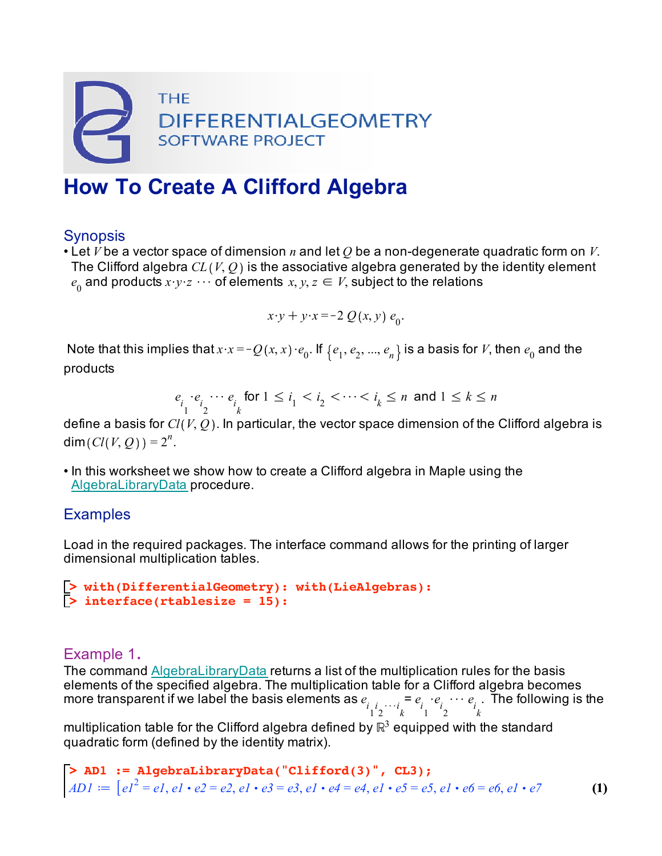

# **How To Create A Clifford Algebra**

## **Synopsis**

• Let *V* be a vector space of dimension *n* and let *Q* be a non-degenerate quadratic form on *V*. The Clifford algebra  $CL(V, Q)$  is the associative algebra generated by the identity element  $e^{\theta}$  and products  $x \cdot y \cdot z$   $\cdots$  of elements  $x, y, z \in V$ , subject to the relations

$$
x \cdot y + y \cdot x = -2 Q(x, y) e_0.
$$

Note that this implies that  $x \cdot x = -Q(x, x) \cdot e_0$ . If  $\{e_1, e_2, ..., e_n\}$  is a basis for *V*, then  $e_0$  and the products

$$
e_{i_1} \cdot e_{i_2} \cdots e_{i_k} \text{ for } 1 \leq i_1 < i_2 < \cdots < i_k \leq n \text{ and } 1 \leq k \leq n
$$

define a basis for *Cl V*, *Q* . In particular, the vector space dimension of the Clifford algebra is  $dim(Cl(V, Q)) = 2^n$ .

• In this worksheet we show how to create a Clifford algebra in Maple using the AlgebraLibraryData procedure.

#### **Examples**

Load in the required packages. The interface command allows for the printing of larger dimensional multiplication tables.

```
> 
> 
with(DifferentialGeometry): with(LieAlgebras):
  interface(rtablesize = 15):
```
### Example 1.

The command AlgebraLibraryData returns a list of the multiplication rules for the basis elements of the specified algebra. The multiplication table for a Clifford algebra becomes more transparent if we label the basis elements as  $e_{i}\underset{1}{\cdot}e_{i}\cdots_{i}\underset{1}{=}\,e_{i}\cdot e_{i}\cdots e_{i}$ . The following is the

multiplication table for the Clifford algebra defined by  $\mathbb{R}^3$  equipped with the standard quadratic form (defined by the identity matrix).

> AD1 := AlgebraLibraryData("Clifford(3)", CL3);  
AD1 := 
$$
[el^2 = el, el \cdot e2 = e2, el \cdot e3 = e3, el \cdot e4 = e4, el \cdot e5 = e5, el \cdot e6 = e6, el \cdot e7
$$
 (1)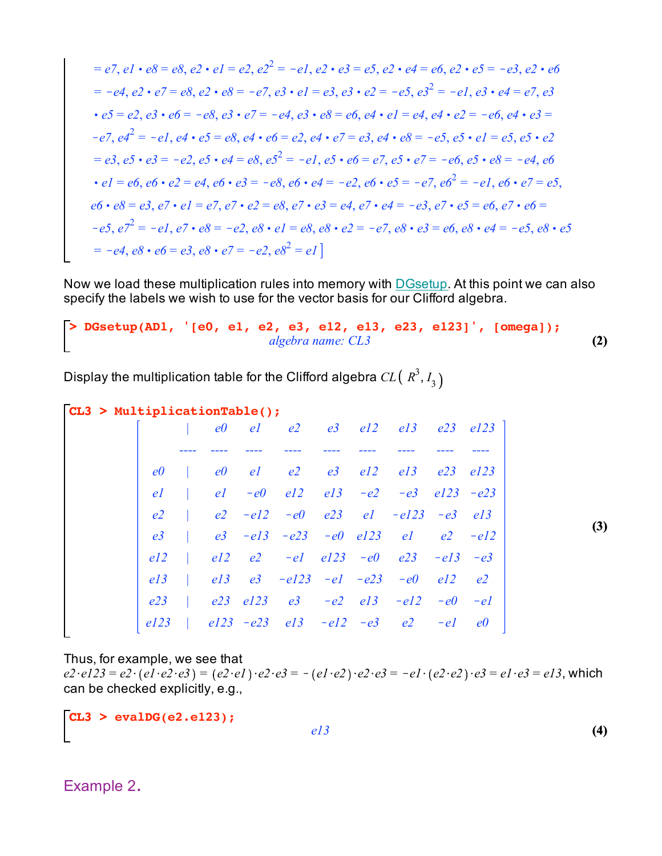$$
= e7, e1 \cdot e8 = e8, e2 \cdot e1 = e2, e2^2 = -e1, e2 \cdot e3 = e5, e2 \cdot e4 = e6, e2 \cdot e5 = -e3, e2 \cdot e6
$$
\n
$$
= -e4, e2 \cdot e7 = e8, e2 \cdot e8 = -e7, e3 \cdot e1 = e3, e3 \cdot e2 = -e5, e3^2 = -e1, e3 \cdot e4 = e7, e3
$$
\n
$$
\cdot e5 = e2, e3 \cdot e6 = -e8, e3 \cdot e7 = -e4, e3 \cdot e8 = e6, e4 \cdot e1 = e4, e4 \cdot e2 = -e6, e4 \cdot e3 =
$$
\n
$$
-e7, e4^2 = -e1, e4 \cdot e5 = e8, e4 \cdot e6 = e2, e4 \cdot e7 = e3, e4 \cdot e8 = -e5, e5 \cdot e1 = e5, e5 \cdot e2
$$
\n
$$
= e3, e5 \cdot e3 = -e2, e5 \cdot e4 = e8, e5^2 = -e1, e5 \cdot e6 = e7, e5 \cdot e7 = -e6, e5 \cdot e8 = -e4, e6
$$
\n
$$
\cdot e1 = e6, e6 \cdot e2 = e4, e6 \cdot e3 = -e8, e6 \cdot e4 = -e2, e6 \cdot e5 = -e7, e6^2 = -e1, e6 \cdot e7 = e5, e6 \cdot e8 = e3, e7 \cdot e1 = e7, e7 \cdot e2 = e8, e7 \cdot e3 = e4, e7 \cdot e4 = -e3, e7 \cdot e5 = e6, e7 \cdot e6 =
$$
\n
$$
-e5, e7^2 = -e1, e7 \cdot e8 = -e2, e8 \cdot e1 = e8, e8 \cdot e2 = -e7, e8 \cdot e3 = e6, e8 \cdot e4 = -e5, e8 \cdot e5 = -e4, e8 \cdot e6 = e3, e8 \cdot e7 = -e2, e8^2 = e1
$$

Now we load these multiplication rules into memory with **DGsetup**. At this point we can also specify the labels we wish to use for the vector basis for our Clifford algebra.

**> DGsetup(AD1, '[e0, e1, e2, e3, e12, e13, e23, e123]', [omega]); (2)** *algebra name: CL3*

Display the multiplication table for the Clifford algebra  $CL($   $\mathit{R}^{3},$   $\mathit{I}_{3}$ 

```
CL3 > 
MultiplicationTable();
```

|                |  |  |  | e0 el e2 e3 el2 el3 e23 el23                             |       |    |
|----------------|--|--|--|----------------------------------------------------------|-------|----|
|                |  |  |  |                                                          |       |    |
|                |  |  |  | $e0$   $e0$ $e1$ $e2$ $e3$ $e12$ $e13$ $e23$ $e123$      |       |    |
| el             |  |  |  | $ $ el $-e0$ el2 el3 $-e2$ $-e3$ el23 $-e23$             |       |    |
| e <sub>2</sub> |  |  |  | $ e2 - e12 - e0 e23 e1 - e123 - e3 e13$                  |       |    |
| e3             |  |  |  | $e3 - e13 - e23 - e0$ $e123$ $e1$ $e2 - e12$             |       |    |
| el2            |  |  |  | $el2$ $el2$ $-el$ $el23$ $-el$ $el3$ $-el3$ $-el3$ $-e3$ |       |    |
| el3            |  |  |  | $\vert$ el 3 e3 -el 23 -e1 -e23 -e0 el 2 e2              |       |    |
| e23            |  |  |  | $ $ e23 e123 e3 -e2 e13 -e12 -e0 -e1                     |       |    |
| el23           |  |  |  | $el23 - e23$ $el3 - el2 - e3$ $el2$                      | $-e1$ | e0 |

**(3)**

**(4)**

Thus, for example, we see that

 $e2 \cdot e123 = e2 \cdot (e1 \cdot e2 \cdot e3) = (e2 \cdot e1) \cdot e2 \cdot e3 = -(e1 \cdot e2) \cdot e2 \cdot e3 = -e1 \cdot (e2 \cdot e2) \cdot e3 = e1 \cdot e3 = e13$ , which can be checked explicitly, e.g.,

*e13*

**CL3 > evalDG(e2.e123);**

$$
f_{\rm{max}}
$$

Example 2.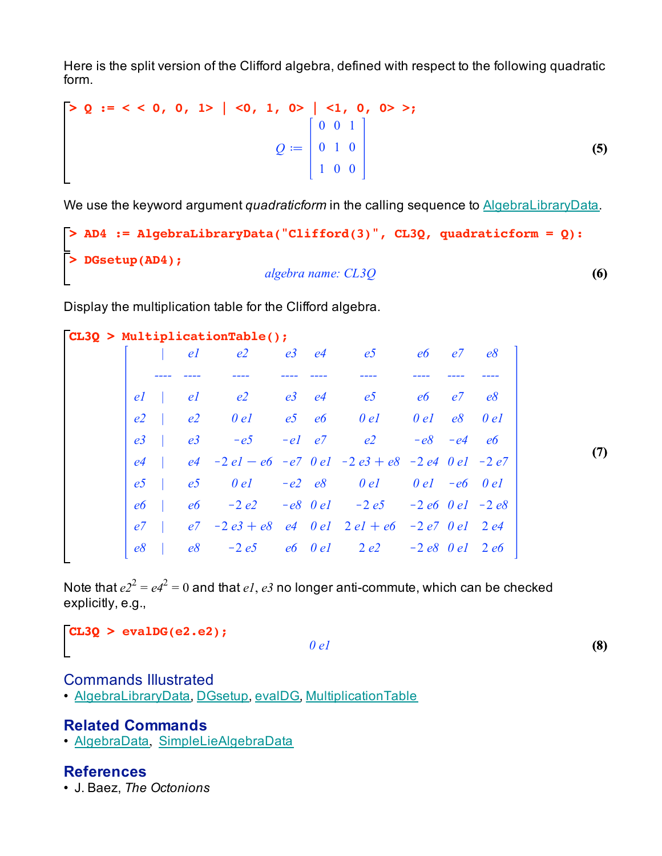Here is the split version of the Clifford algebra, defined with respect to the following quadratic form.

$$
\begin{bmatrix}\n> Q & \text{if } < < < 0, & 0, & 1 > | < 0, & 1, & 0 > | < 1, & 0, & 0 > >; \\
 & Q & \text{if } & Q & \text{if } & Q & \text{if } & Q & \text{if } & Q & \text{if } & Q & \text{if } & Q & \text{if } & Q & \text{if } & Q & \text{if } & Q & \text{if } & Q & \text{if } & Q & \text{if } & Q & \text{if } & Q & \text{if } & Q & \text{if } & Q & \text{if } & Q & \text{if } & Q & \text{if } & Q & \text{if } & Q & \text{if } & Q & \text{if } & Q & \text{if } & Q & \text{if } & Q & \text{if } & Q & \text{if } & Q & \text{if } & Q & \text{if } & Q & \text{if } & Q & \text{if } & Q & \text{if } & Q & \text{if } & Q & \text{if } & Q & \text{if } & Q & \text{if } & Q & \text{if } & Q & \text{if } & Q & \text{if } & Q & \text{if } & Q & \text{if } & Q & \text{if } & Q & \text{if } & Q & \text{if } & Q & \text{if } & Q & \text{if } & Q & \text{if } & Q & \text{if } & Q & \text{if } & Q & \text{if } & Q & \text{if } & Q & \text{if } & Q & \text{if } & Q & \text{if } & Q & \text{if } & Q & \text{if } & Q & \text{if } & Q & \text{
$$

We use the keyword argument *quadraticform* in the calling sequence to **AlgebraLibraryData**.

```
> 
DGsetup(AD4);
                                                                          (6)
> 
AD4 := AlgebraLibraryData("Clifford(3)", CL3Q, quadraticform = Q):
                           algebra name: CL3Q
```
Display the multiplication table for the Clifford algebra.

|                |                | $CL3Q$ > MultiplicationTable();                           |  |                               |            |     |
|----------------|----------------|-----------------------------------------------------------|--|-------------------------------|------------|-----|
|                | el             | e <sub>2</sub>                                            |  | $e3$ $e4$ $e5$                | e6 e7      | e8  |
|                |                |                                                           |  |                               |            |     |
| el             | el             |                                                           |  | $e2$ $e3$ $e4$ $e5$ $e6$ $e7$ |            | e8  |
| e <sub>2</sub> | e <sub>2</sub> | $0el$ $e5$ $e6$ $0el$                                     |  |                               | $0el$ e8   | 0el |
| e <sub>3</sub> | e <sub>3</sub> | $-e5$                                                     |  | $-e1$ $e7$ $e2$               | $-e8 - e4$ | e6  |
| e <sub>4</sub> |                | $e4 - 2el - e6 - e7$ 0 el $-2e3 + e8 - 2e4$ 0 el $-2e7$   |  |                               |            |     |
| e <sub>5</sub> |                | $e5$ $0$ $e1$ $-e2$ $e8$ $0$ $e1$ $0$ $e1$ $-e6$ $0$ $e1$ |  |                               |            |     |
| e6             |                | $e6$ -2e2 -e8 0e1 -2e5 -2e6 0e1 -2e8                      |  |                               |            |     |
| e7             |                | $e7 - 2e3 + e8$ e4 0e1 $2el + e6 - 2e7$ 0e1 $2e4$         |  |                               |            |     |
| e8             |                | e8 -2e5 e6 0e1 2e2 -2e8 0e1 2e6                           |  |                               |            |     |

Note that  $e^{2^2} = e^{2^2} = 0$  and that  $eI$ ,  $e3$  no longer anti-commute, which can be checked explicitly, e.g.,

```
CL3Q > 
evalDG(e2.e2);
                                                                                 (8)
                                     0 e1
```
#### Commands Illustrated

• AlgebraLibraryData, DGsetup, evalDG, MultiplicationTable

#### **Related Commands**

• AlgebraData, SimpleLieAlgebraData

#### **References**

• J. Baez, *The Octonions*